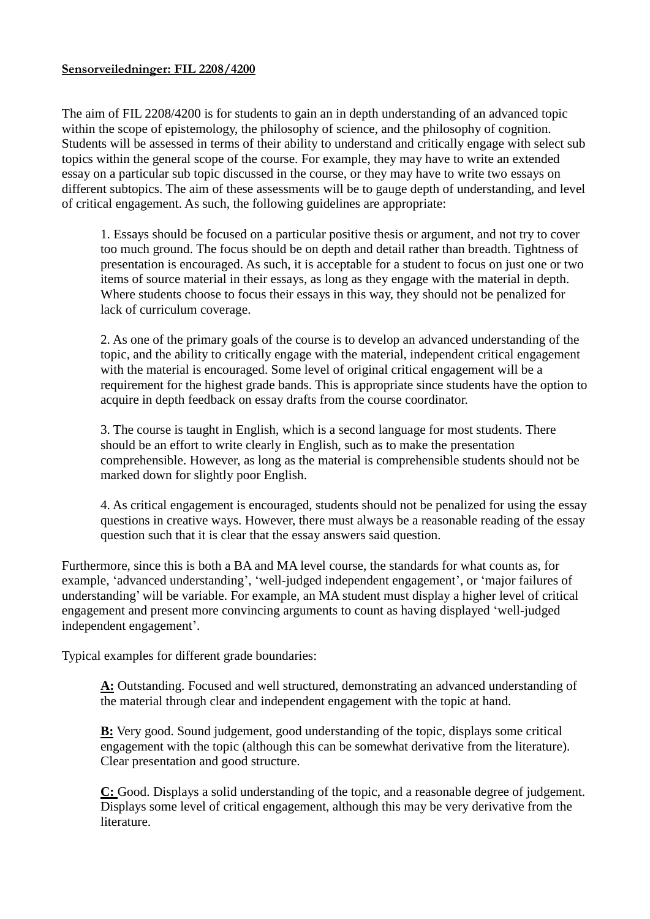## **Sensorveiledninger: FIL 2208/4200**

The aim of FIL 2208/4200 is for students to gain an in depth understanding of an advanced topic within the scope of epistemology, the philosophy of science, and the philosophy of cognition. Students will be assessed in terms of their ability to understand and critically engage with select sub topics within the general scope of the course. For example, they may have to write an extended essay on a particular sub topic discussed in the course, or they may have to write two essays on different subtopics. The aim of these assessments will be to gauge depth of understanding, and level of critical engagement. As such, the following guidelines are appropriate:

1. Essays should be focused on a particular positive thesis or argument, and not try to cover too much ground. The focus should be on depth and detail rather than breadth. Tightness of presentation is encouraged. As such, it is acceptable for a student to focus on just one or two items of source material in their essays, as long as they engage with the material in depth. Where students choose to focus their essays in this way, they should not be penalized for lack of curriculum coverage.

2. As one of the primary goals of the course is to develop an advanced understanding of the topic, and the ability to critically engage with the material, independent critical engagement with the material is encouraged. Some level of original critical engagement will be a requirement for the highest grade bands. This is appropriate since students have the option to acquire in depth feedback on essay drafts from the course coordinator.

3. The course is taught in English, which is a second language for most students. There should be an effort to write clearly in English, such as to make the presentation comprehensible. However, as long as the material is comprehensible students should not be marked down for slightly poor English.

4. As critical engagement is encouraged, students should not be penalized for using the essay questions in creative ways. However, there must always be a reasonable reading of the essay question such that it is clear that the essay answers said question.

Furthermore, since this is both a BA and MA level course, the standards for what counts as, for example, 'advanced understanding', 'well-judged independent engagement', or 'major failures of understanding' will be variable. For example, an MA student must display a higher level of critical engagement and present more convincing arguments to count as having displayed 'well-judged independent engagement'.

Typical examples for different grade boundaries:

**A:** Outstanding. Focused and well structured, demonstrating an advanced understanding of the material through clear and independent engagement with the topic at hand.

**B:** Very good. Sound judgement, good understanding of the topic, displays some critical engagement with the topic (although this can be somewhat derivative from the literature). Clear presentation and good structure.

**C:** Good. Displays a solid understanding of the topic, and a reasonable degree of judgement. Displays some level of critical engagement, although this may be very derivative from the literature.